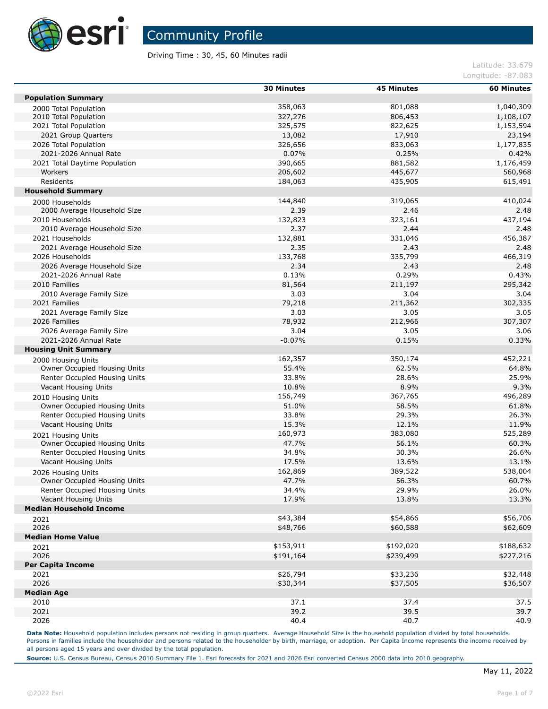

Driving Time : 30, 45, 60 Minutes radii

Latitude: 33.679 Longitude: -87.083

|                                | <b>30 Minutes</b> | <b>45 Minutes</b> | <b>60 Minutes</b> |
|--------------------------------|-------------------|-------------------|-------------------|
| <b>Population Summary</b>      |                   |                   |                   |
| 2000 Total Population          | 358,063           | 801,088           | 1,040,309         |
| 2010 Total Population          | 327,276           | 806,453           | 1,108,107         |
| 2021 Total Population          | 325,575           | 822,625           | 1,153,594         |
| 2021 Group Quarters            | 13,082            | 17,910            | 23,194            |
| 2026 Total Population          | 326,656           | 833,063           | 1,177,835         |
| 2021-2026 Annual Rate          | 0.07%             | 0.25%             | 0.42%             |
| 2021 Total Daytime Population  | 390,665           | 881,582           | 1,176,459         |
| Workers                        | 206,602           | 445,677           | 560,968           |
| Residents                      | 184,063           | 435,905           | 615,491           |
| <b>Household Summary</b>       |                   |                   |                   |
| 2000 Households                | 144,840           | 319,065           | 410,024           |
| 2000 Average Household Size    | 2.39              | 2.46              | 2.48              |
| 2010 Households                | 132,823           | 323,161           | 437,194           |
| 2010 Average Household Size    | 2.37              | 2.44              | 2.48              |
| 2021 Households                | 132,881           | 331,046           | 456,387           |
| 2021 Average Household Size    | 2.35              | 2.43              | 2.48              |
| 2026 Households                | 133,768           | 335,799           | 466,319           |
| 2026 Average Household Size    | 2.34              | 2.43              | 2.48              |
| 2021-2026 Annual Rate          | 0.13%             | 0.29%             | 0.43%             |
| 2010 Families                  | 81,564            | 211,197           | 295,342           |
| 2010 Average Family Size       | 3.03              | 3.04              | 3.04              |
| 2021 Families                  | 79,218            | 211,362           | 302,335           |
| 2021 Average Family Size       | 3.03              | 3.05              | 3.05              |
| 2026 Families                  | 78,932            | 212,966           | 307,307           |
| 2026 Average Family Size       | 3.04              | 3.05              | 3.06              |
| 2021-2026 Annual Rate          | $-0.07%$          | 0.15%             | 0.33%             |
| <b>Housing Unit Summary</b>    |                   |                   |                   |
| 2000 Housing Units             | 162,357           | 350,174           | 452,221           |
| Owner Occupied Housing Units   | 55.4%             | 62.5%             | 64.8%             |
| Renter Occupied Housing Units  | 33.8%             | 28.6%             | 25.9%             |
| Vacant Housing Units           | 10.8%             | 8.9%              | 9.3%              |
| 2010 Housing Units             | 156,749           | 367,765           | 496,289           |
| Owner Occupied Housing Units   | 51.0%             | 58.5%             | 61.8%             |
| Renter Occupied Housing Units  | 33.8%             | 29.3%             | 26.3%             |
| Vacant Housing Units           | 15.3%             | 12.1%             | 11.9%             |
| 2021 Housing Units             | 160,973           | 383,080           | 525,289           |
| Owner Occupied Housing Units   | 47.7%             | 56.1%             | 60.3%             |
| Renter Occupied Housing Units  | 34.8%             | 30.3%             | 26.6%             |
| Vacant Housing Units           | 17.5%             | 13.6%             | 13.1%             |
| 2026 Housing Units             | 162,869           | 389,522           | 538,004           |
| Owner Occupied Housing Units   | 47.7%             | 56.3%             | 60.7%             |
| Renter Occupied Housing Units  | 34.4%             | 29.9%             | 26.0%             |
| Vacant Housing Units           | 17.9%             | 13.8%             | 13.3%             |
| <b>Median Household Income</b> |                   |                   |                   |
| 2021                           | \$43,384          | \$54,866          | \$56,706          |
| 2026                           | \$48,766          | \$60,588          | \$62,609          |
| <b>Median Home Value</b>       |                   |                   |                   |
| 2021                           | \$153,911         | \$192,020         | \$188,632         |
| 2026                           | \$191,164         | \$239,499         | \$227,216         |
| <b>Per Capita Income</b>       |                   |                   |                   |
| 2021                           | \$26,794          | \$33,236          | \$32,448          |
| 2026                           | \$30,344          | \$37,505          | \$36,507          |
| <b>Median Age</b>              |                   |                   |                   |
| 2010                           | 37.1              | 37.4              | 37.5              |
| 2021                           | 39.2              | 39.5              | 39.7              |
| 2026                           | 40.4              | 40.7              | 40.9              |

Data Note: Household population includes persons not residing in group quarters. Average Household Size is the household population divided by total households. Persons in families include the householder and persons related to the householder by birth, marriage, or adoption. Per Capita Income represents the income received by all persons aged 15 years and over divided by the total population.

**Source:** U.S. Census Bureau, Census 2010 Summary File 1. Esri forecasts for 2021 and 2026 Esri converted Census 2000 data into 2010 geography.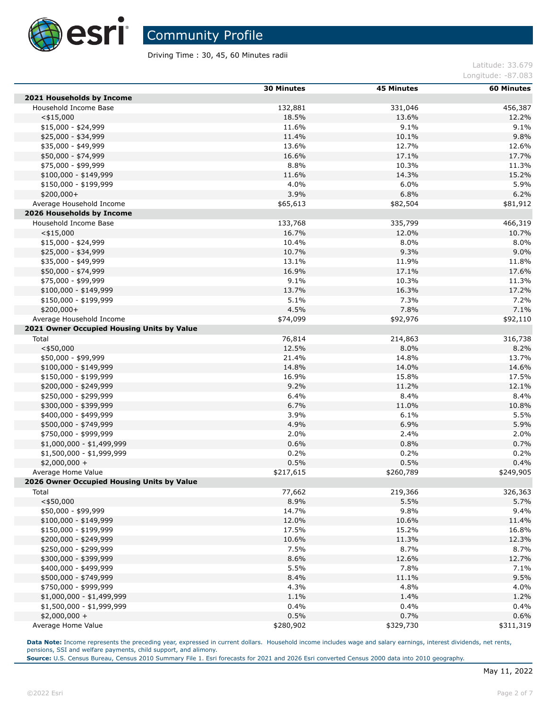

Driving Time : 30, 45, 60 Minutes radii

Latitude: 33.679 Longitude: -87.083

|                                            | <b>30 Minutes</b> | <b>45 Minutes</b> | <b>60 Minutes</b> |
|--------------------------------------------|-------------------|-------------------|-------------------|
| 2021 Households by Income                  |                   |                   |                   |
| Household Income Base                      | 132,881           | 331,046           | 456,387           |
| $<$ \$15,000                               | 18.5%             | 13.6%             | 12.2%             |
| $$15,000 - $24,999$                        | 11.6%             | 9.1%              | 9.1%              |
| $$25,000 - $34,999$                        | 11.4%             | 10.1%             | 9.8%              |
| \$35,000 - \$49,999                        | 13.6%             | 12.7%             | 12.6%             |
| \$50,000 - \$74,999                        | 16.6%             | 17.1%             | 17.7%             |
| \$75,000 - \$99,999                        | 8.8%              | 10.3%             | 11.3%             |
| $$100,000 - $149,999$                      | 11.6%             | 14.3%             | 15.2%             |
| \$150,000 - \$199,999                      | 4.0%              | 6.0%              | 5.9%              |
| $$200,000+$                                | 3.9%              | 6.8%              | 6.2%              |
| Average Household Income                   | \$65,613          | \$82,504          | \$81,912          |
| 2026 Households by Income                  |                   |                   |                   |
| Household Income Base                      | 133,768           | 335,799           | 466,319           |
| $<$ \$15,000                               | 16.7%             | 12.0%             | 10.7%             |
| $$15,000 - $24,999$                        | 10.4%             | 8.0%              | 8.0%              |
| \$25,000 - \$34,999                        | 10.7%             | 9.3%              | 9.0%              |
| \$35,000 - \$49,999                        | 13.1%             | 11.9%             | 11.8%             |
| \$50,000 - \$74,999                        | 16.9%             | 17.1%             | 17.6%             |
| \$75,000 - \$99,999                        | 9.1%              | 10.3%             | 11.3%             |
| $$100,000 - $149,999$                      | 13.7%             | 16.3%             | 17.2%             |
| \$150,000 - \$199,999                      | 5.1%              | 7.3%              | 7.2%              |
| \$200,000+                                 | 4.5%              | 7.8%              | 7.1%              |
| Average Household Income                   | \$74,099          | \$92,976          | \$92,110          |
| 2021 Owner Occupied Housing Units by Value |                   |                   |                   |
| Total                                      | 76,814            | 214,863           | 316,738           |
| $<$ \$50,000                               | 12.5%             | 8.0%              | 8.2%              |
| \$50,000 - \$99,999                        | 21.4%             | 14.8%             | 13.7%             |
| $$100,000 - $149,999$                      | 14.8%             | 14.0%             | 14.6%             |
| \$150,000 - \$199,999                      | 16.9%             | 15.8%             | 17.5%             |
| \$200,000 - \$249,999                      | 9.2%              | 11.2%             | 12.1%             |
| \$250,000 - \$299,999                      | 6.4%              | 8.4%              | 8.4%              |
| \$300,000 - \$399,999                      | 6.7%              | 11.0%             | 10.8%             |
| \$400,000 - \$499,999                      | 3.9%              | 6.1%              | 5.5%              |
| \$500,000 - \$749,999                      | 4.9%              | 6.9%              | 5.9%              |
| \$750,000 - \$999,999                      | 2.0%              | 2.4%              | 2.0%              |
| $$1,000,000 - $1,499,999$                  | 0.6%              | 0.8%              | 0.7%              |
| \$1,500,000 - \$1,999,999                  | 0.2%              | 0.2%              | 0.2%              |
| $$2,000,000 +$                             | 0.5%              | 0.5%              | 0.4%              |
| Average Home Value                         | \$217,615         | \$260,789         | \$249,905         |
| 2026 Owner Occupied Housing Units by Value |                   |                   |                   |
| Total                                      | 77,662            | 219,366           | 326,363           |
| $<$ \$50,000                               | 8.9%              | 5.5%              | 5.7%              |
| \$50,000 - \$99,999                        | 14.7%             | 9.8%              | 9.4%              |
| $$100,000 - $149,999$                      | 12.0%             | 10.6%             | 11.4%             |
| \$150,000 - \$199,999                      | 17.5%             | 15.2%             | 16.8%             |
| \$200,000 - \$249,999                      | 10.6%             | 11.3%             | 12.3%             |
| \$250,000 - \$299,999                      | 7.5%              | 8.7%              | 8.7%              |
| \$300,000 - \$399,999                      | 8.6%              | 12.6%             | 12.7%             |
| \$400,000 - \$499,999                      | 5.5%              | 7.8%              | 7.1%              |
| \$500,000 - \$749,999                      | 8.4%              | 11.1%             | 9.5%              |
| \$750,000 - \$999,999                      | 4.3%              | 4.8%              | 4.0%              |
| \$1,000,000 - \$1,499,999                  | 1.1%              | 1.4%              | 1.2%              |
| $$1,500,000 - $1,999,999$                  | 0.4%              | 0.4%              | 0.4%              |
| $$2,000,000 +$                             | 0.5%              | 0.7%              | 0.6%              |
| Average Home Value                         | \$280,902         | \$329,730         | \$311,319         |

Data Note: Income represents the preceding year, expressed in current dollars. Household income includes wage and salary earnings, interest dividends, net rents, pensions, SSI and welfare payments, child support, and alimony.

**Source:** U.S. Census Bureau, Census 2010 Summary File 1. Esri forecasts for 2021 and 2026 Esri converted Census 2000 data into 2010 geography.

Г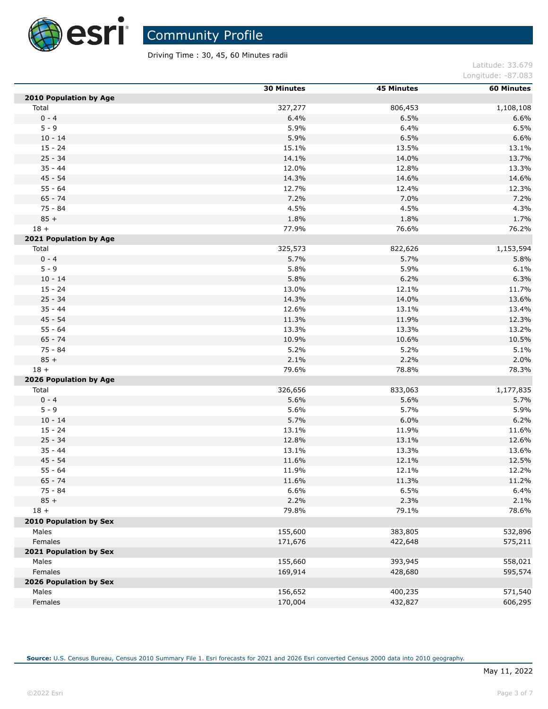

Ĺ,

Community Profile

Driving Time : 30, 45, 60 Minutes radii

Latitude: 33.679 Longitude: -87.083

|                               | <b>30 Minutes</b> | <b>45 Minutes</b> | <b>60 Minutes</b> |
|-------------------------------|-------------------|-------------------|-------------------|
| <b>2010 Population by Age</b> |                   |                   |                   |
| Total                         | 327,277           | 806,453           | 1,108,108         |
| $0 - 4$                       | 6.4%              | 6.5%              | 6.6%              |
| $5 - 9$                       | 5.9%              | 6.4%              | 6.5%              |
| $10 - 14$                     | 5.9%              | 6.5%              | 6.6%              |
| $15 - 24$                     | 15.1%             | 13.5%             | 13.1%             |
| $25 - 34$                     | 14.1%             | 14.0%             | 13.7%             |
| $35 - 44$                     | 12.0%             | 12.8%             | 13.3%             |
| $45 - 54$                     | 14.3%             | 14.6%             | 14.6%             |
| $55 - 64$                     | 12.7%             | 12.4%             | 12.3%             |
| $65 - 74$                     | 7.2%              | 7.0%              | 7.2%              |
| 75 - 84                       | 4.5%              | 4.5%              | 4.3%              |
| $85 +$                        | 1.8%              | 1.8%              | 1.7%              |
| $18 +$                        | 77.9%             | 76.6%             | 76.2%             |
| 2021 Population by Age        |                   |                   |                   |
| Total                         | 325,573           | 822,626           | 1,153,594         |
| $0 - 4$                       | 5.7%              | 5.7%              | 5.8%              |
| $5 - 9$                       | 5.8%              | 5.9%              | 6.1%              |
| $10 - 14$                     | 5.8%              | 6.2%              | 6.3%              |
| $15 - 24$                     | 13.0%             | 12.1%             | 11.7%             |
| $25 - 34$                     | 14.3%             | 14.0%             | 13.6%             |
| $35 - 44$                     | 12.6%             | 13.1%             | 13.4%             |
| $45 - 54$                     | 11.3%             | 11.9%             | 12.3%             |
| $55 - 64$                     | 13.3%             | 13.3%             | 13.2%             |
| $65 - 74$                     | 10.9%             | 10.6%             | 10.5%             |
| 75 - 84                       | 5.2%              | 5.2%              | 5.1%              |
| $85 +$                        | 2.1%              | 2.2%              | 2.0%              |
| $18 +$                        | 79.6%             | 78.8%             | 78.3%             |
| 2026 Population by Age        |                   |                   |                   |
| Total                         | 326,656           | 833,063           | 1,177,835         |
| $0 - 4$                       | 5.6%              | 5.6%              | 5.7%              |
| $5 - 9$                       | 5.6%              | 5.7%              | 5.9%              |
| $10 - 14$                     | 5.7%              | 6.0%              | 6.2%              |
| $15 - 24$                     | 13.1%             | 11.9%             | 11.6%             |
| $25 - 34$                     | 12.8%             | 13.1%             | 12.6%             |
| $35 - 44$                     | 13.1%             | 13.3%             | 13.6%             |
| $45 - 54$                     | 11.6%             | 12.1%             | 12.5%             |
| $55 - 64$                     | 11.9%             | 12.1%             | 12.2%             |
| $65 - 74$                     | 11.6%             | 11.3%             |                   |
| 75 - 84                       | 6.6%              | 6.5%              | 11.2%<br>6.4%     |
| $85 +$                        | 2.2%              | 2.3%              | 2.1%              |
|                               |                   |                   |                   |
| $18 +$                        | 79.8%             | 79.1%             | 78.6%             |
| 2010 Population by Sex        |                   |                   |                   |
| Males                         | 155,600           | 383,805           | 532,896           |
| Females                       | 171,676           | 422,648           | 575,211           |
| 2021 Population by Sex        |                   |                   |                   |
| Males                         | 155,660           | 393,945           | 558,021           |
| Females                       | 169,914           | 428,680           | 595,574           |
| 2026 Population by Sex        |                   |                   |                   |
| Males                         | 156,652           | 400,235           | 571,540           |
| Females                       | 170,004           | 432,827           | 606,295           |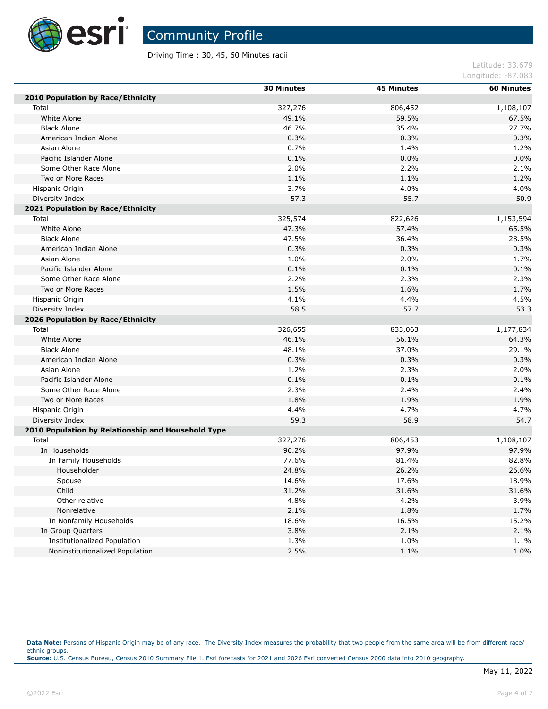

Driving Time : 30, 45, 60 Minutes radii

|                                                    | <b>30 Minutes</b> | <b>45 Minutes</b> | <b>60 Minutes</b> |
|----------------------------------------------------|-------------------|-------------------|-------------------|
| 2010 Population by Race/Ethnicity                  |                   |                   |                   |
| Total                                              | 327,276           | 806,452           | 1,108,107         |
| White Alone                                        | 49.1%             | 59.5%             | 67.5%             |
| <b>Black Alone</b>                                 | 46.7%             | 35.4%             | 27.7%             |
| American Indian Alone                              | 0.3%              | 0.3%              | 0.3%              |
| Asian Alone                                        | 0.7%              | 1.4%              | 1.2%              |
| Pacific Islander Alone                             | 0.1%              | 0.0%              | 0.0%              |
| Some Other Race Alone                              | 2.0%              | 2.2%              | 2.1%              |
| Two or More Races                                  | 1.1%              | 1.1%              | 1.2%              |
| Hispanic Origin                                    | 3.7%              | 4.0%              | 4.0%              |
| Diversity Index                                    | 57.3              | 55.7              | 50.9              |
| 2021 Population by Race/Ethnicity                  |                   |                   |                   |
| Total                                              | 325,574           | 822,626           | 1,153,594         |
| White Alone                                        | 47.3%             | 57.4%             | 65.5%             |
| <b>Black Alone</b>                                 | 47.5%             | 36.4%             | 28.5%             |
| American Indian Alone                              | 0.3%              | 0.3%              | 0.3%              |
| Asian Alone                                        | 1.0%              | 2.0%              | 1.7%              |
| Pacific Islander Alone                             | 0.1%              | 0.1%              | 0.1%              |
| Some Other Race Alone                              | 2.2%              | 2.3%              | 2.3%              |
| Two or More Races                                  | 1.5%              | 1.6%              | 1.7%              |
| Hispanic Origin                                    | 4.1%              | 4.4%              | 4.5%              |
| Diversity Index                                    | 58.5              | 57.7              | 53.3              |
| 2026 Population by Race/Ethnicity                  |                   |                   |                   |
| Total                                              | 326,655           | 833,063           | 1,177,834         |
| White Alone                                        | 46.1%             | 56.1%             | 64.3%             |
| <b>Black Alone</b>                                 | 48.1%             | 37.0%             | 29.1%             |
| American Indian Alone                              | 0.3%              | 0.3%              | 0.3%              |
| Asian Alone                                        | 1.2%              | 2.3%              | 2.0%              |
| Pacific Islander Alone                             | 0.1%              | 0.1%              | 0.1%              |
| Some Other Race Alone                              | 2.3%              | 2.4%              | 2.4%              |
| Two or More Races                                  | 1.8%              | 1.9%              | 1.9%              |
| Hispanic Origin                                    | 4.4%              | 4.7%              | 4.7%              |
| Diversity Index                                    | 59.3              | 58.9              | 54.7              |
| 2010 Population by Relationship and Household Type |                   |                   |                   |
| Total                                              | 327,276           | 806,453           | 1,108,107         |
| In Households                                      | 96.2%             | 97.9%             | 97.9%             |
| In Family Households                               | 77.6%             | 81.4%             | 82.8%             |
| Householder                                        | 24.8%             | 26.2%             | 26.6%             |
| Spouse                                             | 14.6%             | 17.6%             | 18.9%             |
| Child                                              | 31.2%             | 31.6%             | 31.6%             |
| Other relative                                     | 4.8%              | 4.2%              | 3.9%              |
| Nonrelative                                        | 2.1%              | 1.8%              | 1.7%              |
| In Nonfamily Households                            | 18.6%             | 16.5%             | 15.2%             |
| In Group Quarters                                  | 3.8%              | 2.1%              | 2.1%              |
| Institutionalized Population                       | 1.3%              | 1.0%              | 1.1%              |
| Noninstitutionalized Population                    | 2.5%              | 1.1%              | 1.0%              |

Data Note: Persons of Hispanic Origin may be of any race. The Diversity Index measures the probability that two people from the same area will be from different race/ ethnic groups. **Source:** U.S. Census Bureau, Census 2010 Summary File 1. Esri forecasts for 2021 and 2026 Esri converted Census 2000 data into 2010 geography.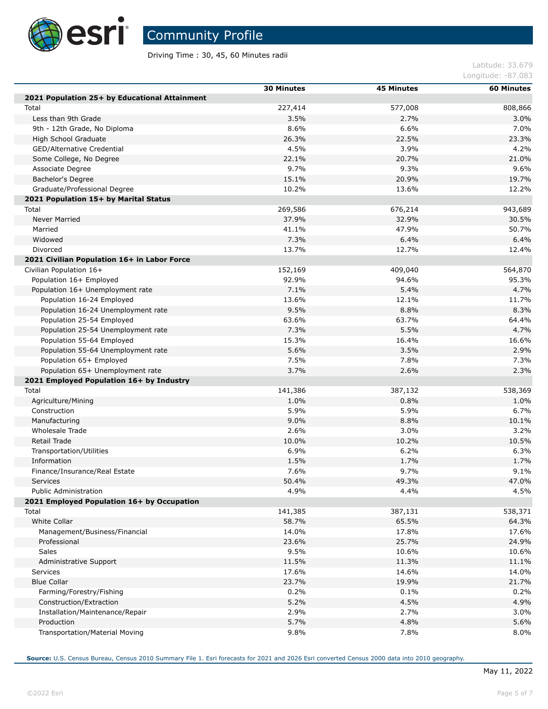

П

П

П

Community Profile

Driving Time : 30, 45, 60 Minutes radii

Latitude: 33.679 Longitude: -87.083

|                                               | <b>30 Minutes</b> | <b>45 Minutes</b> | <b>60 Minutes</b> |
|-----------------------------------------------|-------------------|-------------------|-------------------|
| 2021 Population 25+ by Educational Attainment |                   |                   |                   |
| Total                                         | 227,414           | 577,008           | 808,866           |
| Less than 9th Grade                           | 3.5%              | 2.7%              | 3.0%              |
| 9th - 12th Grade, No Diploma                  | 8.6%              | 6.6%              | 7.0%              |
| High School Graduate                          | 26.3%             | 22.5%             | 23.3%             |
| GED/Alternative Credential                    | 4.5%              | 3.9%              | 4.2%              |
| Some College, No Degree                       | 22.1%             | 20.7%             | 21.0%             |
| Associate Degree                              | 9.7%              | 9.3%              | 9.6%              |
| Bachelor's Degree                             | 15.1%             | 20.9%             | 19.7%             |
| Graduate/Professional Degree                  | 10.2%             | 13.6%             | 12.2%             |
| 2021 Population 15+ by Marital Status         |                   |                   |                   |
| Total                                         | 269,586           | 676,214           | 943,689           |
| Never Married                                 | 37.9%             | 32.9%             | 30.5%             |
| Married                                       | 41.1%             | 47.9%             | 50.7%             |
| Widowed                                       | 7.3%              | 6.4%              | 6.4%              |
| Divorced                                      | 13.7%             | 12.7%             | 12.4%             |
| 2021 Civilian Population 16+ in Labor Force   |                   |                   |                   |
| Civilian Population 16+                       | 152,169           | 409,040           | 564,870           |
| Population 16+ Employed                       | 92.9%             | 94.6%             | 95.3%             |
| Population 16+ Unemployment rate              | 7.1%              | 5.4%              | 4.7%              |
| Population 16-24 Employed                     | 13.6%             | 12.1%             | 11.7%             |
| Population 16-24 Unemployment rate            | 9.5%              | 8.8%              | 8.3%              |
| Population 25-54 Employed                     | 63.6%             | 63.7%             | 64.4%             |
| Population 25-54 Unemployment rate            | 7.3%              | 5.5%              | 4.7%              |
| Population 55-64 Employed                     | 15.3%             | 16.4%             | 16.6%             |
| Population 55-64 Unemployment rate            | 5.6%              | 3.5%              | 2.9%              |
| Population 65+ Employed                       | 7.5%              | 7.8%              | 7.3%              |
| Population 65+ Unemployment rate              | 3.7%              | 2.6%              | 2.3%              |
| 2021 Employed Population 16+ by Industry      |                   |                   |                   |
| Total                                         | 141,386           | 387,132           | 538,369           |
| Agriculture/Mining                            | 1.0%              | 0.8%              | 1.0%              |
| Construction                                  | 5.9%              | 5.9%              | 6.7%              |
| Manufacturing                                 | 9.0%              | 8.8%              | 10.1%             |
| Wholesale Trade                               | 2.6%              | 3.0%              | 3.2%              |
| Retail Trade                                  | 10.0%             | 10.2%             | 10.5%             |
| Transportation/Utilities                      | 6.9%              | 6.2%              | 6.3%              |
| Information                                   | 1.5%              | 1.7%              | 1.7%              |
| Finance/Insurance/Real Estate                 | 7.6%              | 9.7%              | 9.1%              |
| Services                                      | 50.4%             | 49.3%             | 47.0%             |
| <b>Public Administration</b>                  | 4.9%              | 4.4%              | 4.5%              |
| 2021 Employed Population 16+ by Occupation    |                   |                   |                   |
| Total                                         | 141,385           | 387,131           | 538,371           |
| White Collar                                  | 58.7%             | 65.5%             | 64.3%             |
| Management/Business/Financial                 | 14.0%             | 17.8%             | 17.6%             |
| Professional                                  | 23.6%             | 25.7%             | 24.9%             |
| Sales                                         | 9.5%              | 10.6%             | 10.6%             |
|                                               | 11.5%             | 11.3%             | 11.1%             |
| Administrative Support                        |                   | 14.6%             |                   |
| Services<br><b>Blue Collar</b>                | 17.6%<br>23.7%    |                   | 14.0%             |
|                                               |                   | 19.9%             | 21.7%             |
| Farming/Forestry/Fishing                      | 0.2%              | 0.1%              | 0.2%              |
| Construction/Extraction                       | 5.2%              | 4.5%              | 4.9%              |
| Installation/Maintenance/Repair               | 2.9%              | 2.7%              | 3.0%              |
| Production                                    | 5.7%              | 4.8%              | 5.6%              |
| Transportation/Material Moving                | 9.8%              | 7.8%              | 8.0%              |

**Source:** U.S. Census Bureau, Census 2010 Summary File 1. Esri forecasts for 2021 and 2026 Esri converted Census 2000 data into 2010 geography.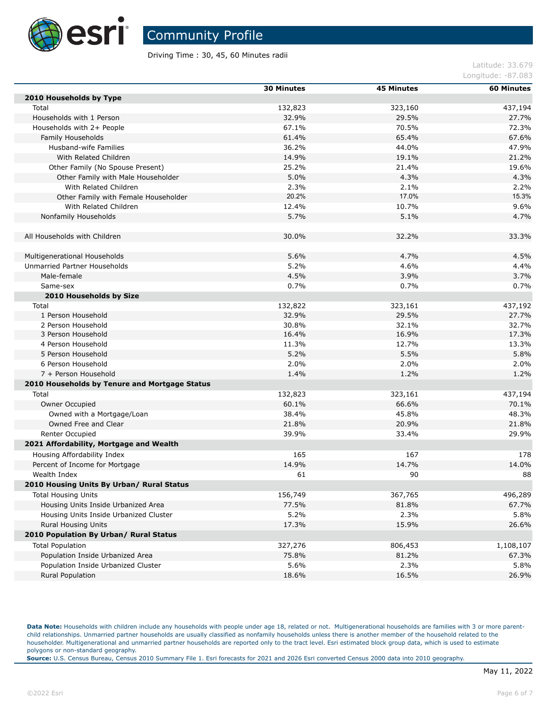

Driving Time : 30, 45, 60 Minutes radii

#### Latitude: 33.679 Longitude: -87.083

|                                               | <b>30 Minutes</b> | <b>45 Minutes</b> | <b>60 Minutes</b> |
|-----------------------------------------------|-------------------|-------------------|-------------------|
| 2010 Households by Type                       |                   |                   |                   |
| Total                                         | 132,823           | 323,160           | 437,194           |
| Households with 1 Person                      | 32.9%             | 29.5%             | 27.7%             |
| Households with 2+ People                     | 67.1%             | 70.5%             | 72.3%             |
| Family Households                             | 61.4%             | 65.4%             | 67.6%             |
| Husband-wife Families                         | 36.2%             | 44.0%             | 47.9%             |
| With Related Children                         | 14.9%             | 19.1%             | 21.2%             |
| Other Family (No Spouse Present)              | 25.2%             | 21.4%             | 19.6%             |
| Other Family with Male Householder            | 5.0%              | 4.3%              | 4.3%              |
| With Related Children                         | 2.3%              | 2.1%              | 2.2%              |
| Other Family with Female Householder          | 20.2%             | 17.0%             | 15.3%             |
| With Related Children                         | 12.4%             | 10.7%             | 9.6%              |
| Nonfamily Households                          | 5.7%              | 5.1%              | 4.7%              |
| All Households with Children                  | 30.0%             | 32.2%             | 33.3%             |
|                                               |                   |                   |                   |
| Multigenerational Households                  | 5.6%              | 4.7%              | 4.5%              |
| Unmarried Partner Households                  | 5.2%              | 4.6%              | 4.4%              |
| Male-female                                   | 4.5%              | 3.9%              | 3.7%              |
| Same-sex                                      | 0.7%              | 0.7%              | 0.7%              |
| 2010 Households by Size                       |                   |                   |                   |
| Total                                         | 132,822           | 323,161           | 437,192           |
| 1 Person Household                            | 32.9%             | 29.5%             | 27.7%             |
| 2 Person Household                            | 30.8%             | 32.1%             | 32.7%             |
| 3 Person Household                            | 16.4%             | 16.9%             | 17.3%             |
| 4 Person Household                            | 11.3%             | 12.7%             | 13.3%             |
| 5 Person Household                            | 5.2%              | 5.5%              | 5.8%              |
| 6 Person Household                            | 2.0%              | 2.0%              | 2.0%              |
| 7 + Person Household                          | 1.4%              | 1.2%              | 1.2%              |
| 2010 Households by Tenure and Mortgage Status |                   |                   |                   |
| Total                                         | 132,823           | 323,161           | 437,194           |
| Owner Occupied                                | 60.1%             | 66.6%             | 70.1%             |
| Owned with a Mortgage/Loan                    | 38.4%             | 45.8%             | 48.3%             |
| Owned Free and Clear                          | 21.8%             | 20.9%             | 21.8%             |
| Renter Occupied                               | 39.9%             | 33.4%             | 29.9%             |
| 2021 Affordability, Mortgage and Wealth       |                   |                   |                   |
| Housing Affordability Index                   | 165               | 167               | 178               |
| Percent of Income for Mortgage                | 14.9%             | 14.7%             | 14.0%             |
| Wealth Index                                  | 61                | 90                | 88                |
| 2010 Housing Units By Urban/ Rural Status     |                   |                   |                   |
| <b>Total Housing Units</b>                    | 156,749           | 367,765           | 496,289           |
| Housing Units Inside Urbanized Area           | 77.5%             | 81.8%             | 67.7%             |
| Housing Units Inside Urbanized Cluster        | 5.2%              | 2.3%              | 5.8%              |
| <b>Rural Housing Units</b>                    | 17.3%             | 15.9%             | 26.6%             |
| 2010 Population By Urban/ Rural Status        |                   |                   |                   |
| <b>Total Population</b>                       | 327,276           | 806,453           | 1,108,107         |
| Population Inside Urbanized Area              | 75.8%             | 81.2%             | 67.3%             |
| Population Inside Urbanized Cluster           | 5.6%              | 2.3%              | 5.8%              |
| <b>Rural Population</b>                       | 18.6%             | 16.5%             | 26.9%             |
|                                               |                   |                   |                   |

Data Note: Households with children include any households with people under age 18, related or not. Multigenerational households are families with 3 or more parentchild relationships. Unmarried partner households are usually classified as nonfamily households unless there is another member of the household related to the householder. Multigenerational and unmarried partner households are reported only to the tract level. Esri estimated block group data, which is used to estimate polygons or non-standard geography.

**Source:** U.S. Census Bureau, Census 2010 Summary File 1. Esri forecasts for 2021 and 2026 Esri converted Census 2000 data into 2010 geography.